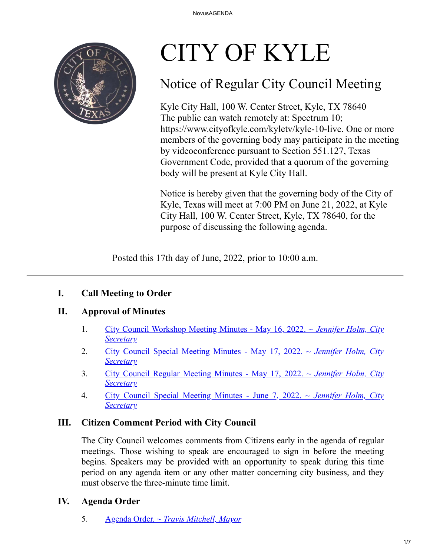

# CITY OF KYLE

## Notice of Regular City Council Meeting

Kyle City Hall, 100 W. Center Street, Kyle, TX 78640 The public can watch remotely at: Spectrum 10; https://www.cityofkyle.com/kyletv/kyle-10-live. One or more members of the governing body may participate in the meeting by videoconference pursuant to Section 551.127, Texas Government Code, provided that a quorum of the governing body will be present at Kyle City Hall.

Notice is hereby given that the governing body of the City of Kyle, Texas will meet at 7:00 PM on June 21, 2022, at Kyle City Hall, 100 W. Center Street, Kyle, TX 78640, for the purpose of discussing the following agenda.

Posted this 17th day of June, 2022, prior to 10:00 a.m.

## **I. Call Meeting to Order**

## **II. Approval of Minutes**

- 1. [City Council Workshop Meeting Minutes May 16, 2022. ~](https://kyle.novusagenda.com/agendapublic/CoverSheet.aspx?ItemID=16917&MeetingID=1533) *Jennifer Holm, City Secretary*
- 2. [City Council Special Meeting Minutes May 17, 2022. ~](https://kyle.novusagenda.com/agendapublic/CoverSheet.aspx?ItemID=16918&MeetingID=1533) *Jennifer Holm, City Secretary*
- 3. [City Council Regular Meeting Minutes May 17, 2022. ~](https://kyle.novusagenda.com/agendapublic/CoverSheet.aspx?ItemID=16919&MeetingID=1533) *Jennifer Holm, City Secretary*
- 4. [City Council Special Meeting Minutes June 7, 2022. ~](https://kyle.novusagenda.com/agendapublic/CoverSheet.aspx?ItemID=16997&MeetingID=1533) *Jennifer Holm, City Secretary*

## **III. Citizen Comment Period with City Council**

The City Council welcomes comments from Citizens early in the agenda of regular meetings. Those wishing to speak are encouraged to sign in before the meeting begins. Speakers may be provided with an opportunity to speak during this time period on any agenda item or any other matter concerning city business, and they must observe the three-minute time limit.

## **IV. Agenda Order**

5. Agenda Order. *[~ Travis Mitchell, Mayor](https://kyle.novusagenda.com/agendapublic/CoverSheet.aspx?ItemID=17064&MeetingID=1533)*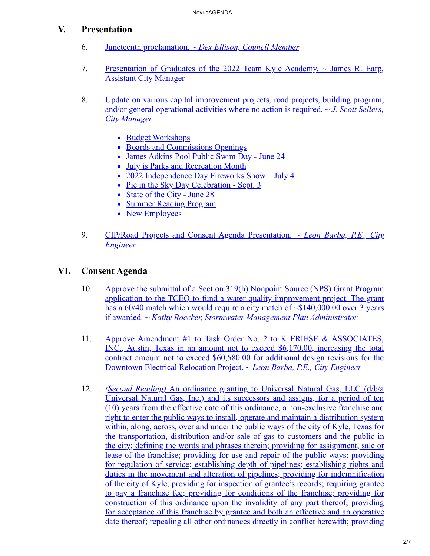## **V. Presentation**

- 6. Juneteenth proclamation. *[~ Dex Ellison, Council Member](https://kyle.novusagenda.com/agendapublic/CoverSheet.aspx?ItemID=17046&MeetingID=1533)*
- 7. [Presentation of Graduates of the 2022 Team Kyle Academy. ~ James R. Earp,](https://kyle.novusagenda.com/agendapublic/CoverSheet.aspx?ItemID=17061&MeetingID=1533) Assistant City Manager
- 8. [Update on various capital improvement projects, road projects, building program,](https://kyle.novusagenda.com/agendapublic/CoverSheet.aspx?ItemID=17021&MeetingID=1533) and/or general operational activities where no action is required. *~ J. Scott Sellers, City Manager*
	- Budget Workshops
	- Boards and Commissions Openings
	- James Adkins Pool Public Swim Day June 24
	- July is Parks and Recreation Month
	- 2022 Independence Day Fireworks Show July 4
	- Pie in the Sky Day Celebration Sept. 3
	- State of the City June 28
	- Summer Reading Program
	- New Employees
- 9. [CIP/Road Projects and Consent Agenda Presentation.](https://kyle.novusagenda.com/agendapublic/CoverSheet.aspx?ItemID=17022&MeetingID=1533) *~ Leon Barba, P.E., City Engineer*

## **VI. Consent Agenda**

- 10. Approve the submittal of a Section 319(h) Nonpoint Source (NPS) Grant Program application to the TCEQ to fund a water quality improvement project. The grant has a  $60/40$  match which would require a city match of  $\sim $140,000.00$  over 3 years if awarded. *~ Kathy Roecker, Stormwater Management Plan Administrator*
- 11. Approve Amendment #1 to Task Order No. 2 to K FRIESE & ASSOCIATES, [INC., Austin, Texas in an amount not to exceed \\$6,170.00, increasing the total](https://kyle.novusagenda.com/agendapublic/CoverSheet.aspx?ItemID=16999&MeetingID=1533) contract amount not to exceed \$60,580.00 for additional design revisions for the Downtown Electrical Relocation Project. ~ *Leon Barba, P.E., City Engineer*
- 12. *(Second Reading)* An ordinance granting to Universal Natural Gas, LLC (d/b/a Universal Natural Gas, Inc.) and its successors and assigns, for a period of ten (10) years from the effective date of this ordinance, a non-exclusive franchise and right to enter the public ways to install, operate and maintain a distribution system within, along, across, over and under the public ways of the city of Kyle, Texas for the transportation, distribution and/or sale of gas to customers and the public in [the city; defining the words and phrases therein; providing for assignment, sale or](https://kyle.novusagenda.com/agendapublic/CoverSheet.aspx?ItemID=17019&MeetingID=1533) lease of the franchise; providing for use and repair of the public ways; providing for regulation of service; establishing depth of pipelines; establishing rights and duties in the movement and alteration of pipelines; providing for indemnification of the city of Kyle; providing for inspection of grantee's records; requiring grantee to pay a franchise fee; providing for conditions of the franchise; providing for construction of this ordinance upon the invalidity of any part thereof; providing for acceptance of this franchise by grantee and both an effective and an operative date thereof; repealing all other ordinances directly in conflict herewith; providing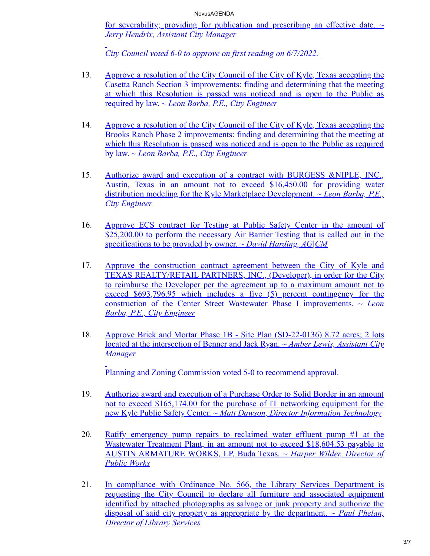[for severability; providing for publication and prescribing an effective date.](https://kyle.novusagenda.com/agendapublic/CoverSheet.aspx?ItemID=17019&MeetingID=1533) *~ Jerry Hendrix, Assistant City Manager*

*City Council voted 6-0 to approve on first reading on 6/7/2022.*

- 13. [Approve a resolution of the City Council of the City of Kyle, Texas accepting the](https://kyle.novusagenda.com/agendapublic/CoverSheet.aspx?ItemID=17024&MeetingID=1533) Casetta Ranch Section 3 improvements: finding and determining that the meeting at which this Resolution is passed was noticed and is open to the Public as required by law. ~ *Leon Barba, P.E., City Engineer*
- 14. [Approve a resolution of the City Council of the City of Kyle, Texas accepting the](https://kyle.novusagenda.com/agendapublic/CoverSheet.aspx?ItemID=17026&MeetingID=1533) Brooks Ranch Phase 2 improvements: finding and determining that the meeting at which this Resolution is passed was noticed and is open to the Public as required by law. ~ *Leon Barba, P.E., City Engineer*
- 15. Authorize award and execution of a contract with BURGESS &NIPLE, INC., [Austin, Texas in an amount not to exceed \\$16,450.00 for providing water](https://kyle.novusagenda.com/agendapublic/CoverSheet.aspx?ItemID=17027&MeetingID=1533) distribution modeling for the Kyle Marketplace Development. ~ *Leon Barba, P.E., City Engineer*
- 16. [Approve ECS contract for Testing at Public Safety Center in the amount of](https://kyle.novusagenda.com/agendapublic/CoverSheet.aspx?ItemID=17032&MeetingID=1533) \$25,200.00 to perform the necessary Air Barrier Testing that is called out in the specifications to be provided by owner. *~ David Harding, AG|CM*
- 17. Approve the construction contract agreement between the City of Kyle and [TEXAS REALTY/RETAIL PARTNERS, INC., \(Developer\), in order for the City](https://kyle.novusagenda.com/agendapublic/CoverSheet.aspx?ItemID=17039&MeetingID=1533) to reimburse the Developer per the agreement up to a maximum amount not to exceed \$693,796.95 which includes a five (5) percent contingency for the construction of the Center Street Wastewater Phase I improvements. ~ *Leon Barba, P.E., City Engineer*
- 18. [Approve Brick and Mortar Phase 1B Site Plan \(SD-22-0136\) 8.72 acres; 2 lots](https://kyle.novusagenda.com/agendapublic/CoverSheet.aspx?ItemID=17040&MeetingID=1533) located at the intersection of Benner and Jack Ryan. *~ Amber Lewis, Assistant City Manager*

Planning and Zoning Commission voted 5-0 to recommend approval.

- 19. Authorize award and execution of a Purchase Order to Solid Border in an amount [not to exceed \\$165,174.00 for the purchase of IT networking equipment for the](https://kyle.novusagenda.com/agendapublic/CoverSheet.aspx?ItemID=17041&MeetingID=1533) new Kyle Public Safety Center. *~ Matt Dawson, Director Information Technology*
- 20. [Ratify emergency pump repairs to reclaimed water effluent pump #1 at the](https://kyle.novusagenda.com/agendapublic/CoverSheet.aspx?ItemID=17047&MeetingID=1533) Wastewater Treatment Plant, in an amount not to exceed \$18,604.53 payable to AUSTIN ARMATURE WORKS, LP, Buda Texas. *~ Harper Wilder, Director of Public Works*
- 21. [In compliance with Ordinance No. 566, the Library Services Department is](https://kyle.novusagenda.com/agendapublic/CoverSheet.aspx?ItemID=17055&MeetingID=1533) requesting the City Council to declare all furniture and associated equipment identified by attached photographs as salvage or junk property and authorize the disposal of said city property as appropriate by the department. *~ Paul Phelan, Director of Library Services*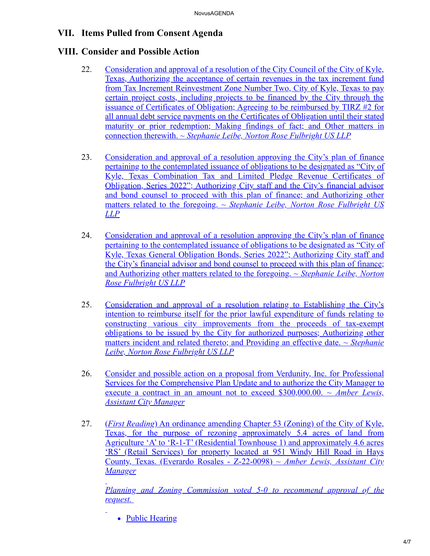## **VII. Items Pulled from Consent Agenda**

## **VIII. Consider and Possible Action**

- 22. Consideration and approval of a resolution of the City Council of the City of Kyle, Texas, Authorizing the acceptance of certain revenues in the tax increment fund from Tax Increment Reinvestment Zone Number Two, City of Kyle, Texas to pay certain project costs, including projects to be financed by the City through the issuance of Certificates of Obligation; Agreeing to be reimbursed by TIRZ #2 for all annual debt service payments on the Certificates of Obligation until their stated [maturity or prior redemption; Making findings of fact; and Other matters in](https://kyle.novusagenda.com/agendapublic/CoverSheet.aspx?ItemID=17048&MeetingID=1533) connection therewith. *~ Stephanie Leibe, Norton Rose Fulbright US LLP*
- 23. [Consideration and approval of a resolution approving the City's plan of finance](https://kyle.novusagenda.com/agendapublic/CoverSheet.aspx?ItemID=17051&MeetingID=1533) pertaining to the contemplated issuance of obligations to be designated as "City of Kyle, Texas Combination Tax and Limited Pledge Revenue Certificates of Obligation, Series 2022"; Authorizing City staff and the City's financial advisor and bond counsel to proceed with this plan of finance; and Authorizing other matters related to the foregoing. *~ Stephanie Leibe, Norton Rose Fulbright US LLP*
- 24. [Consideration and approval of a resolution approving the City's plan of finance](https://kyle.novusagenda.com/agendapublic/CoverSheet.aspx?ItemID=17052&MeetingID=1533) pertaining to the contemplated issuance of obligations to be designated as "City of Kyle, Texas General Obligation Bonds, Series 2022"; Authorizing City staff and the City's financial advisor and bond counsel to proceed with this plan of finance; and Authorizing other matters related to the foregoing. *~ Stephanie Leibe, Norton Rose Fulbright US LLP*
- 25. Consideration and approval of a resolution relating to Establishing the City's intention to reimburse itself for the prior lawful expenditure of funds relating to constructing various city improvements from the proceeds of tax-exempt [obligations to be issued by the City for authorized purposes; Authorizing other](https://kyle.novusagenda.com/agendapublic/CoverSheet.aspx?ItemID=17053&MeetingID=1533) matters incident and related thereto; and Providing an effective date. *~ Stephanie Leibe, Norton Rose Fulbright US LLP*
- 26. Consider and possible action on a proposal from Verdunity, Inc. for Professional [Services for the Comprehensive Plan Update and to authorize the City Manager to](https://kyle.novusagenda.com/agendapublic/CoverSheet.aspx?ItemID=17017&MeetingID=1533) execute a contract in an amount not to exceed \$300,000.00. *~ Amber Lewis, Assistant City Manager*
- 27. (*First Reading*) An ordinance amending Chapter 53 (Zoning) of the City of Kyle, Texas, for the purpose of rezoning approximately 5.4 acres of land from Agriculture 'A' to 'R-1-T' (Residential Townhouse 1) and approximately 4.6 acres 'RS' (Retail Services) for property located at 951 Windy Hill Road in Hays County, Texas. (Everardo Rosales - Z-22-0098) *~ Amber Lewis, Assistant City Manager*

*[Planning and Zoning Commission voted 5-0 to recommend approval of the](https://kyle.novusagenda.com/agendapublic/CoverSheet.aspx?ItemID=17009&MeetingID=1533) request.*

• Public Hearing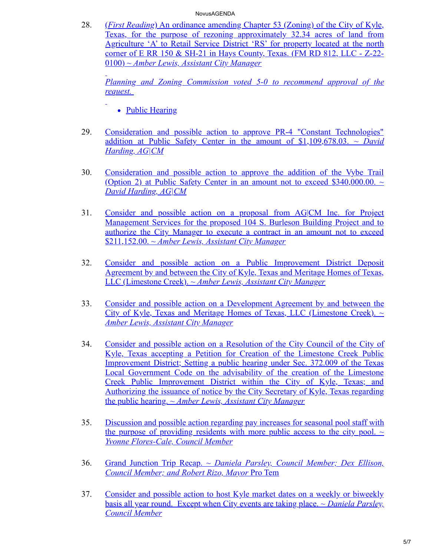28. (*First Reading*) An ordinance amending Chapter 53 (Zoning) of the City of Kyle, Texas, for the purpose of rezoning approximately 32.34 acres of land from Agriculture 'A' to Retail Service District 'RS' for property located at the north corner of E RR 150 & SH-21 in Hays County, Texas. (FM RD 812, LLC - Z-22- 0100) *~ Amber Lewis, Assistant City Manager*

*[Planning and Zoning Commission voted 5-0 to recommend approval of the](https://kyle.novusagenda.com/agendapublic/CoverSheet.aspx?ItemID=17010&MeetingID=1533) request.*

- Public Hearing
- 29. [Consideration and possible action to approve PR-4 "Constant Technologies"](https://kyle.novusagenda.com/agendapublic/CoverSheet.aspx?ItemID=16996&MeetingID=1533) addition at Public Safety Center in the amount of \$1,109,678.03. *~ David Harding, AG|CM*
- 30. [Consideration and possible action to approve the addition of the Vybe Trail](https://kyle.novusagenda.com/agendapublic/CoverSheet.aspx?ItemID=17062&MeetingID=1533) (Option 2) at Public Safety Center in an amount not to exceed \$340,000.00.  $\sim$ *David Harding, AG|CM*
- 31. [Consider and possible action on a proposal from AG|CM Inc. for Project](https://kyle.novusagenda.com/agendapublic/CoverSheet.aspx?ItemID=17060&MeetingID=1533) Management Services for the proposed 104 S. Burleson Building Project and to authorize the City Manager to execute a contract in an amount not to exceed \$211,152.00. *~ Amber Lewis, Assistant City Manager*
- 32. [Consider and possible action on a Public Improvement District Deposit](https://kyle.novusagenda.com/agendapublic/CoverSheet.aspx?ItemID=16980&MeetingID=1533) Agreement by and between the City of Kyle, Texas and Meritage Homes of Texas, LLC (Limestone Creek). *~ Amber Lewis, Assistant City Manager*
- 33. [Consider and possible action on a Development Agreement by and between the](https://kyle.novusagenda.com/agendapublic/CoverSheet.aspx?ItemID=16964&MeetingID=1533) City of Kyle, Texas and Meritage Homes of Texas, LLC (Limestone Creek). *~ Amber Lewis, Assistant City Manager*
- 34. [Consider and possible action on a Resolution of the City Council of the City of](https://kyle.novusagenda.com/agendapublic/CoverSheet.aspx?ItemID=16979&MeetingID=1533) Kyle, Texas accepting a Petition for Creation of the Limestone Creek Public Improvement District; Setting a public hearing under Sec. 372.009 of the Texas Local Government Code on the advisability of the creation of the Limestone Creek Public Improvement District within the City of Kyle, Texas; and Authorizing the issuance of notice by the City Secretary of Kyle, Texas regarding the public hearing. *~ Amber Lewis, Assistant City Manager*
- 35. [Discussion and possible action regarding pay increases for seasonal pool staff with](https://kyle.novusagenda.com/agendapublic/CoverSheet.aspx?ItemID=17044&MeetingID=1533) the purpose of providing residents with more public access to the city pool.  $\sim$ *Yvonne Flores-Cale, Council Member*
- 36. Grand Junction Trip Recap. *[~ Daniela Parsley, Council Member; Dex Ellison,](https://kyle.novusagenda.com/agendapublic/CoverSheet.aspx?ItemID=17030&MeetingID=1533) Council Member; and Robert Rizo, Mayor* Pro Tem
- 37. [Consider and possible action to host Kyle market dates on a weekly or biweekly](https://kyle.novusagenda.com/agendapublic/CoverSheet.aspx?ItemID=17029&MeetingID=1533) basis all year round. Except when City events are taking place. *~ Daniela Parsley, Council Member*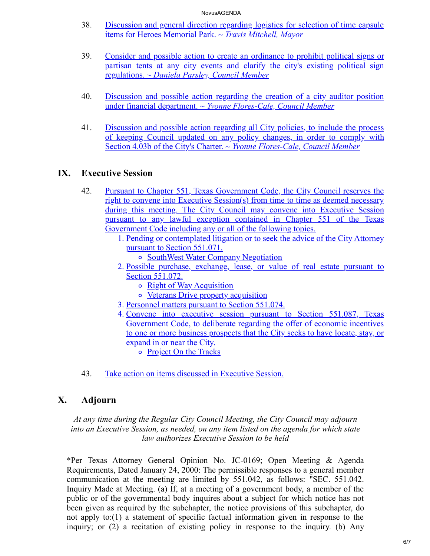- 38. [Discussion and general direction regarding logistics for selection of time capsule](https://kyle.novusagenda.com/agendapublic/CoverSheet.aspx?ItemID=17058&MeetingID=1533) items for Heroes Memorial Park. *~ Travis Mitchell, Mayor*
- 39. [Consider and possible action to create an ordinance to prohibit political signs or](https://kyle.novusagenda.com/agendapublic/CoverSheet.aspx?ItemID=17028&MeetingID=1533) partisan tents at any city events and clarify the city's existing political sign regulations. *~ Daniela Parsley, Council Member*
- 40. [Discussion and possible action regarding the creation of a city auditor position](https://kyle.novusagenda.com/agendapublic/CoverSheet.aspx?ItemID=17043&MeetingID=1533) under financial department. *~ Yvonne Flores-Cale, Council Member*
- 41. Discussion and possible action regarding all City policies, to include the process [of keeping Council updated on any policy changes, in order to comply with](https://kyle.novusagenda.com/agendapublic/CoverSheet.aspx?ItemID=17045&MeetingID=1533) Section 4.03b of the City's Charter. *~ Yvonne Flores-Cale, Council Member*

### **IX. Executive Session**

- 42. Pursuant to Chapter 551, Texas Government Code, the City Council reserves the right to convene into Executive Session(s) from time to time as deemed necessary [during this meeting. The City Council may convene into Executive Session](https://kyle.novusagenda.com/agendapublic/CoverSheet.aspx?ItemID=17063&MeetingID=1533) pursuant to any lawful exception contained in Chapter 551 of the Texas Government Code including any or all of the following topics.
	- 1. Pending or contemplated litigation or to seek the advice of the City Attorney pursuant to Section 551.071.
		- o SouthWest Water Company Negotiation
	- 2. Possible purchase, exchange, lease, or value of real estate pursuant to Section 551.072.
		- o Right of Way Acquisition
		- o Veterans Drive property acquisition
	- 3. Personnel matters pursuant to Section 551.074.
	- 4. Convene into executive session pursuant to Section 551.087, Texas Government Code, to deliberate regarding the offer of economic incentives to one or more business prospects that the City seeks to have locate, stay, or expand in or near the City.
		- o Project On the Tracks
- 43. [Take action on items discussed in Executive Session.](https://kyle.novusagenda.com/agendapublic/CoverSheet.aspx?ItemID=17023&MeetingID=1533)

## **X. Adjourn**

*At any time during the Regular City Council Meeting, the City Council may adjourn into an Executive Session, as needed, on any item listed on the agenda for which state law authorizes Executive Session to be held*

\*Per Texas Attorney General Opinion No. JC-0169; Open Meeting & Agenda Requirements, Dated January 24, 2000: The permissible responses to a general member communication at the meeting are limited by 551.042, as follows: "SEC. 551.042. Inquiry Made at Meeting. (a) If, at a meeting of a government body, a member of the public or of the governmental body inquires about a subject for which notice has not been given as required by the subchapter, the notice provisions of this subchapter, do not apply to:(1) a statement of specific factual information given in response to the inquiry; or (2) a recitation of existing policy in response to the inquiry. (b) Any